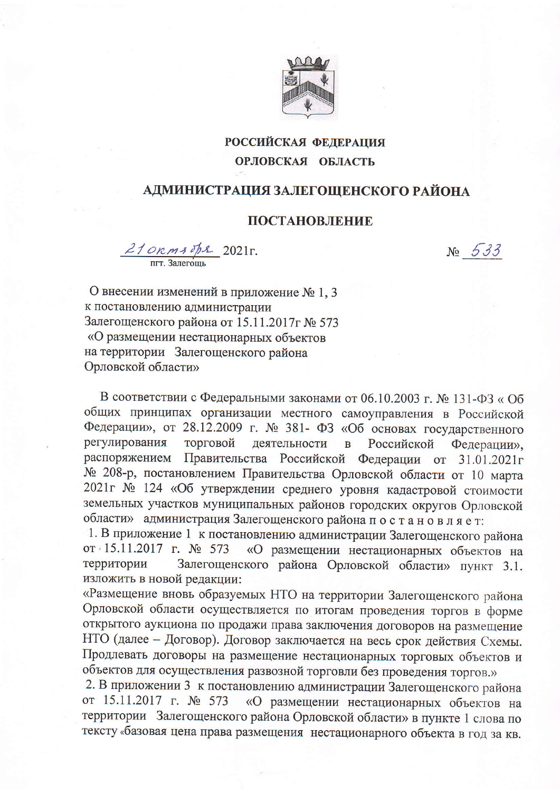

## **РОССИЙСКАЯ ФЕДЕРАЦИЯ** ОРЛОВСКАЯ ОБЛАСТЬ

## АДМИНИСТРАЦИЯ ЗАЛЕГОЩЕНСКОГО РАЙОНА

## ПОСТАНОВЛЕНИЕ

 $\frac{210\text{R}m30\text{pc}}{m\text{m} \cdot 3\text{a}m\text{e}^2}$  2021  $\text{R}$ .

 $N_2$  533

О внесении изменений в приложение № 1, 3 к постановлению администрации Залегощенского района от 15.11.2017 г№ 573 «О размещении нестационарных объектов на территории Залегощенского района Орловской области»

В соответствии с Федеральными законами от 06.10.2003 г. № 131-ФЗ «Об общих принципах организации местного самоуправления в Российской Федерации», от 28.12.2009 г. № 381- ФЗ «Об основах государственного регулирования торговой деятельности  $\overline{B}$ Российской Федерации», распоряжением Правительства Российской Федерации от 31.01.2021г № 208-р, постановлением Правительства Орловской области от 10 марта 2021г № 124 «Об утверждении среднего уровня кадастровой стоимости земельных участков муниципальных районов городских округов Орловской области» администрация Залегощенского района постановляет:

1. В приложение 1 к постановлению администрации Залегощенского района от 15.11.2017 г. № 573 «О размещении нестационарных объектов на Залегощенского района Орловской области» пункт 3.1. территории изложить в новой редакции:

«Размещение вновь образуемых НТО на территории Залегощенского района Орловской области осуществляется по итогам проведения торгов в форме открытого аукциона по продажи права заключения договоров на размещение НТО (далее - Договор). Договор заключается на весь срок действия Схемы. Продлевать договоры на размещение нестационарных торговых объектов и объектов для осуществления развозной торговли без проведения торгов.»

2. В приложении 3 к постановлению администрации Залегощенского района от 15.11.2017 г. № 573 «О размещении нестационарных объектов на территории Залегощенского района Орловской области» в пункте 1 слова по тексту «базовая цена права размещения нестационарного объекта в год за кв.